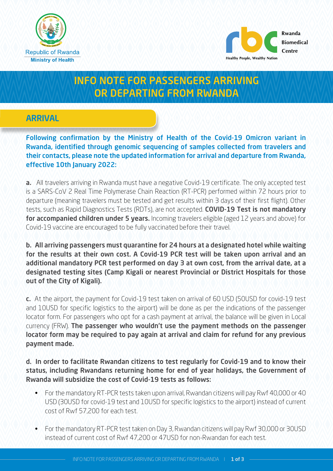



# INFO NOTE FOR PASSENGERS ARRIVING OR DEPARTING FROM RWANDA

## ARRIVAL

Following confirmation by the Ministry of Health of the Covid-19 Omicron variant in Rwanda, identified through genomic sequencing of samples collected from travelers and their contacts, please note the updated information for arrival and departure from Rwanda, effective 10th January 2022:

a. All travelers arriving in Rwanda must have a negative Covid-19 certificate. The only accepted test is a SARS-CoV 2 Real Time Polymerase Chain Reaction (RT-PCR) performed within 72 hours prior to departure (meaning travelers must be tested and get results within 3 days of their first flight). Other tests, such as Rapid Diagnostics Tests (RDTs), are not accepted. COVID-19 Test is not mandatory for accompanied children under 5 years. Incoming travelers eligible (aged 12 years and above) for Covid-19 vaccine are encouraged to be fully vaccinated before their travel.

b. All arriving passengers must quarantine for 24 hours at a designated hotel while waiting for the results at their own cost. A Covid-19 PCR test will be taken upon arrival and an additional mandatory PCR test performed on day 3 at own cost, from the arrival date, at a designated testing sites (Camp Kigali or nearest Provincial or District Hospitals for those out of the City of Kigali).

c. At the airport, the payment for Covid-19 test taken on arrival of 60 USD (50USD for covid-19 test and 10USD for specific logistics to the airport) will be done as per the indications of the passenger locator form. For passengers who opt for a cash payment at arrival, the balance will be given in Local currency (FRW). The passenger who wouldn't use the payment methods on the passenger locator form may be required to pay again at arrival and claim for refund for any previous payment made.

#### d. In order to facilitate Rwandan citizens to test regularly for Covid-19 and to know their status, including Rwandans returning home for end of year holidays, the Government of Rwanda will subsidize the cost of Covid-19 tests as follows:

- For the mandatory RT-PCR tests taken upon arrival, Rwandan citizens will pay Rwf 40,000 or 40 USD (30USD for covid-19 test and 10USD for specific logistics to the airport) instead of current cost of Rwf 57,200 for each test.
- For the mandatory RT-PCR test taken on Day 3, Rwandan citizens will pay Rwf 30,000 or 30USD instead of current cost of Rwf 47,200 or 47USD for non-Rwandan for each test.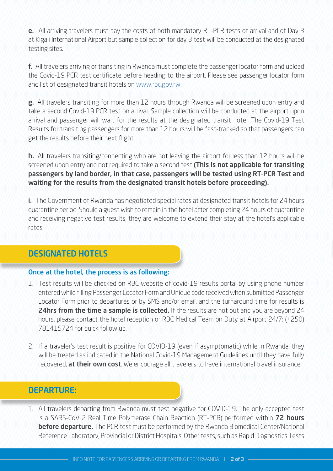e. All arriving travelers must pay the costs of both mandatory RT-PCR tests of arrival and of Day 3 at Kigali International Airport but sample collection for day 3 test will be conducted at the designated testing sites.

f. All travelers arriving or transiting in Rwanda must complete the passenger locator form and upload the Covid-19 PCR test certificate before heading to the airport. Please see passenger locator form and list of designated transit hotels on [www.rbc.gov.rw.](http://www.rbc.gov.rw)

**g.** All travelers transiting for more than 12 hours through Rwanda will be screened upon entry and take a second Covid-19 PCR test on arrival. Sample collection will be conducted at the airport upon arrival and passenger will wait for the results at the designated transit hotel. The Covid-19 Test Results for transiting passengers for more than 12 hours will be fast-tracked so that passengers can get the results before their next flight.

h. All travelers transiting/connecting who are not leaving the airport for less than 12 hours will be screened upon entry and not required to take a second test (This is not applicable for transiting passengers by land border, in that case, passengers will be tested using RT-PCR Test and waiting for the results from the designated transit hotels before proceeding).

i. The Government of Rwanda has negotiated special rates at designated transit hotels for 24 hours quarantine period. Should a guest wish to remain in the hotel after completing 24 hours of quarantine and receiving negative test results, they are welcome to extend their stay at the hotel's applicable rates.

# DESIGNATED HOTELS

#### Once at the hotel, the process is as following:

- 1. Test results will be checked on RBC website of covid-19 results portal by using phone number entered while filling Passenger Locator Form and Unique code received when submitted Passenger Locator Form prior to departures or by SMS and/or email, and the turnaround time for results is 24hrs from the time a sample is collected. If the results are not out and you are beyond 24 hours, please contact the hotel reception or RBC Medical Team on Duty at Airport 24/7: (+250) 781415724 for quick follow up.
- 2. If a traveler's test result is positive for COVID-19 (even if asymptomatic) while in Rwanda, they will be treated as indicated in the National Covid-19 Management Guidelines until they have fully recovered, **at their own cost**. We encourage all travelers to have international travel insurance.

## DEPARTURE:

1. All travelers departing from Rwanda must test negative for COVID-19. The only accepted test is a SARS-CoV 2 Real Time Polymerase Chain Reaction (RT-PCR) performed within 72 hours **before departure.** The PCR test must be performed by the Rwanda Biomedical Center/National Reference Laboratory, Provincial or District Hospitals. Other tests, such as Rapid Diagnostics Tests